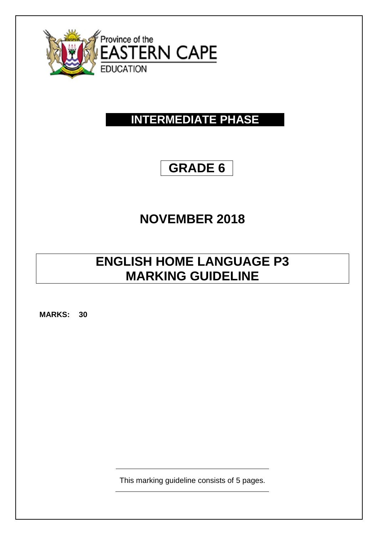

## **INTERMEDIATE PHASE**

## **GRADE 6**

# **NOVEMBER 2018**

### **ENGLISH HOME LANGUAGE P3 MARKING GUIDELINE**

**MARKS: 30**

This marking guideline consists of 5 pages.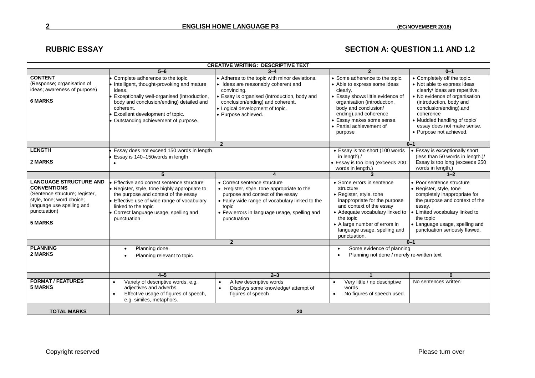### RUBRIC ESSAY **SECTION A: QUESTION 1.1 AND 1.2**

| <b>CREATIVE WRITING: DESCRIPTIVE TEXT</b>                                                                                                                                         |                                                                                                                                                                                                                                                                           |                                                                                                                                                                                                                                                   |                                                                                                                                                                                                                                                                    |                                                                                                                                                                                                                                                                                          |
|-----------------------------------------------------------------------------------------------------------------------------------------------------------------------------------|---------------------------------------------------------------------------------------------------------------------------------------------------------------------------------------------------------------------------------------------------------------------------|---------------------------------------------------------------------------------------------------------------------------------------------------------------------------------------------------------------------------------------------------|--------------------------------------------------------------------------------------------------------------------------------------------------------------------------------------------------------------------------------------------------------------------|------------------------------------------------------------------------------------------------------------------------------------------------------------------------------------------------------------------------------------------------------------------------------------------|
|                                                                                                                                                                                   | $5 - 6$                                                                                                                                                                                                                                                                   | $3 - 4$                                                                                                                                                                                                                                           | $\overline{2}$                                                                                                                                                                                                                                                     | $0 - 1$                                                                                                                                                                                                                                                                                  |
| <b>CONTENT</b><br>(Response; organisation of<br>ideas; awareness of purpose)<br><b>6 MARKS</b>                                                                                    | Complete adherence to the topic.<br>Intelligent, thought-provoking and mature<br>ideas.<br>Exceptionally well-organised (introduction,<br>body and conclusion/ending) detailed and<br>coherent.<br>Excellent development of topic.<br>Outstanding achievement of purpose. | • Adheres to the topic with minor deviations.<br>• Ideas are reasonably coherent and<br>convincing.<br>• Essay is organised (introduction, body and<br>conclusion/ending) and coherent.<br>• Logical development of topic.<br>• Purpose achieved. | • Some adherence to the topic.<br>• Able to express some ideas<br>clearly.<br>• Essay shows little evidence of<br>organisation (introduction,<br>body and conclusion/<br>ending).and coherence<br>• Essay makes some sense.<br>• Partial achievement of<br>purpose | • Completely off the topic.<br>• Not able to express ideas<br>clearly/ ideas are repetitive.<br>• No evidence of organisation<br>(introduction, body and<br>conclusion/ending).and<br>coherence<br>• Muddled handling of topic/<br>essay does not make sense.<br>• Purpose not achieved. |
|                                                                                                                                                                                   |                                                                                                                                                                                                                                                                           | $\overline{2}$                                                                                                                                                                                                                                    | $0 - 1$                                                                                                                                                                                                                                                            |                                                                                                                                                                                                                                                                                          |
| <b>LENGTH</b><br>2 MARKS                                                                                                                                                          | Essay does not exceed 150 words in length<br>Essay is 140-150 words in length                                                                                                                                                                                             |                                                                                                                                                                                                                                                   | • Essay is too short (100 words<br>in length) $/$<br>• Essay is too long (exceeds 200<br>words in length.)                                                                                                                                                         | • Essay is exceptionally short<br>(less than 50 words in length.)/<br>Essay is too long (exceeds 250<br>words in length.)                                                                                                                                                                |
|                                                                                                                                                                                   | 5                                                                                                                                                                                                                                                                         | 4                                                                                                                                                                                                                                                 |                                                                                                                                                                                                                                                                    | $1 - 2$                                                                                                                                                                                                                                                                                  |
| <b>LANGUAGE STRUCTURE AND</b><br><b>CONVENTIONS</b><br>(Sentence structure; register,<br>style, tone; word choice;<br>language use spelling and<br>punctuation)<br><b>5 MARKS</b> | Effective and correct sentence structure<br>Register, style, tone highly appropriate to<br>the purpose and context of the essay<br>Effective use of wide range of vocabulary<br>linked to the topic<br>Correct language usage, spelling and<br>punctuation                | • Correct sentence structure<br>• Register, style, tone appropriate to the<br>purpose and context of the essay<br>• Fairly wide range of vocabulary linked to the<br>topic<br>• Few errors in language usage, spelling and<br>punctuation         | • Some errors in sentence<br>structure<br>• Register, style, tone<br>inappropriate for the purpose<br>and context of the essay<br>• Adequate vocabulary linked to<br>the topic<br>• A large number of errors in<br>language usage, spelling and<br>punctuation.    | • Poor sentence structure<br>• Register, style, tone<br>completely inappropriate for<br>the purpose and context of the<br>essay.<br>Limited vocabulary linked to<br>the topic<br>• Language usage, spelling and<br>punctuation seriously flawed.                                         |
|                                                                                                                                                                                   | $\overline{2}$                                                                                                                                                                                                                                                            |                                                                                                                                                                                                                                                   | $0 - 1$                                                                                                                                                                                                                                                            |                                                                                                                                                                                                                                                                                          |
| <b>PLANNING</b><br>2 MARKS                                                                                                                                                        | Planning done.<br>Planning relevant to topic                                                                                                                                                                                                                              |                                                                                                                                                                                                                                                   | Some evidence of planning<br>$\bullet$<br>Planning not done / merely re-written text                                                                                                                                                                               |                                                                                                                                                                                                                                                                                          |
|                                                                                                                                                                                   | $4 - 5$                                                                                                                                                                                                                                                                   | $2 - 3$                                                                                                                                                                                                                                           |                                                                                                                                                                                                                                                                    | $\bf{0}$                                                                                                                                                                                                                                                                                 |
| <b>FORMAT / FEATURES</b><br><b>5 MARKS</b>                                                                                                                                        | Variety of descriptive words, e.g.<br>$\bullet$<br>adjectives and adverbs,<br>Effective usage of figures of speech,<br>$\bullet$<br>e.g. similes, metaphors.                                                                                                              | A few descriptive words<br>Displays some knowledge/ attempt of<br>figures of speech                                                                                                                                                               | Very little / no descriptive<br>words<br>No figures of speech used.<br>$\bullet$                                                                                                                                                                                   | No sentences written                                                                                                                                                                                                                                                                     |
| <b>TOTAL MARKS</b>                                                                                                                                                                |                                                                                                                                                                                                                                                                           | 20                                                                                                                                                                                                                                                |                                                                                                                                                                                                                                                                    |                                                                                                                                                                                                                                                                                          |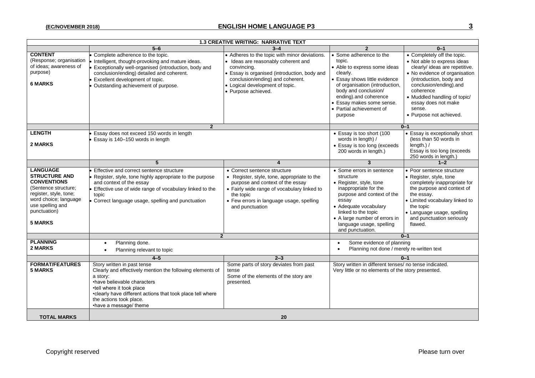| <b>1.3 CREATIVE WRITING: NARRATIVE TEXT</b>                                                                                                                                                    |                                                                                                                                                                                                                                                                                     |                                                                                                                                                                                                                                                   |                                                                                                                                                                                                                                                                            |                                                                                                                                                                                                                                                                                             |  |  |  |
|------------------------------------------------------------------------------------------------------------------------------------------------------------------------------------------------|-------------------------------------------------------------------------------------------------------------------------------------------------------------------------------------------------------------------------------------------------------------------------------------|---------------------------------------------------------------------------------------------------------------------------------------------------------------------------------------------------------------------------------------------------|----------------------------------------------------------------------------------------------------------------------------------------------------------------------------------------------------------------------------------------------------------------------------|---------------------------------------------------------------------------------------------------------------------------------------------------------------------------------------------------------------------------------------------------------------------------------------------|--|--|--|
|                                                                                                                                                                                                | $5 - 6$                                                                                                                                                                                                                                                                             | $3 - 4$                                                                                                                                                                                                                                           | $\overline{\mathbf{c}}$                                                                                                                                                                                                                                                    | $0 - 1$                                                                                                                                                                                                                                                                                     |  |  |  |
| <b>CONTENT</b><br>(Response; organisation<br>of ideas; awareness of<br>purpose)<br><b>6 MARKS</b>                                                                                              | Complete adherence to the topic.<br>Intelligent, thought-provoking and mature ideas.<br>Exceptionally well-organised (introduction, body and<br>conclusion/ending) detailed and coherent.<br>Excellent development of topic.<br>Outstanding achievement of purpose.                 | • Adheres to the topic with minor deviations.<br>• Ideas are reasonably coherent and<br>convincing.<br>• Essay is organised (introduction, body and<br>conclusion/ending) and coherent.<br>• Logical development of topic.<br>• Purpose achieved. | • Some adherence to the<br>topic.<br>• Able to express some ideas<br>clearly.<br><b>Essay shows little evidence</b><br>of organisation (introduction,<br>body and conclusion/<br>ending).and coherence<br>• Essay makes some sense.<br>• Partial achievement of<br>purpose | • Completely off the topic.<br>• Not able to express ideas<br>clearly/ ideas are repetitive.<br>• No evidence of organisation<br>(introduction, body and<br>conclusion/ending).and<br>coherence<br>• Muddled handling of topic/<br>essay does not make<br>sense.<br>• Purpose not achieved. |  |  |  |
|                                                                                                                                                                                                | $\overline{2}$                                                                                                                                                                                                                                                                      | $0 - 1$                                                                                                                                                                                                                                           |                                                                                                                                                                                                                                                                            |                                                                                                                                                                                                                                                                                             |  |  |  |
| <b>LENGTH</b><br>2 MARKS                                                                                                                                                                       | Essay does not exceed 150 words in length<br>Essay is 140-150 words in length                                                                                                                                                                                                       |                                                                                                                                                                                                                                                   | • Essay is too short (100<br>words in length) /<br>• Essay is too long (exceeds<br>200 words in length.)                                                                                                                                                                   | • Essay is exceptionally short<br>(less than 50 words in<br>length.) $/$<br>Essay is too long (exceeds<br>250 words in length.)                                                                                                                                                             |  |  |  |
|                                                                                                                                                                                                | 5                                                                                                                                                                                                                                                                                   | $\boldsymbol{\Lambda}$                                                                                                                                                                                                                            | $\mathbf{3}$                                                                                                                                                                                                                                                               | $1 - 2$                                                                                                                                                                                                                                                                                     |  |  |  |
| <b>LANGUAGE</b><br><b>STRUCTURE AND</b><br><b>CONVENTIONS</b><br>(Sentence structure:<br>register, style, tone;<br>word choice; language<br>use spelling and<br>punctuation)<br><b>5 MARKS</b> | Effective and correct sentence structure<br>Register, style, tone highly appropriate to the purpose<br>and context of the essay<br>Effective use of wide range of vocabulary linked to the<br>topic<br>Correct language usage, spelling and punctuation                             | • Correct sentence structure<br>• Register, style, tone, appropriate to the<br>purpose and context of the essay<br>• Fairly wide range of vocabulary linked to<br>the topic<br>• Few errors in language usage, spelling<br>and punctuation        | • Some errors in sentence<br>structure<br>• Register, style, tone<br>inappropriate for the<br>purpose and context of the<br>essay<br>• Adequate vocabulary<br>linked to the topic<br>• A large number of errors in<br>language usage, spelling<br>and punctuation.         | • Poor sentence structure<br>• Register, style, tone<br>completely inappropriate for<br>the purpose and context of<br>the essay.<br>• Limited vocabulary linked to<br>the topic<br>· Language usage, spelling<br>and punctuation seriously<br>flawed.                                       |  |  |  |
|                                                                                                                                                                                                | $\overline{2}$                                                                                                                                                                                                                                                                      |                                                                                                                                                                                                                                                   | $0 - 1$                                                                                                                                                                                                                                                                    |                                                                                                                                                                                                                                                                                             |  |  |  |
| <b>PLANNING</b><br>2 MARKS                                                                                                                                                                     | Planning done.<br>$\bullet$<br>Planning relevant to topic                                                                                                                                                                                                                           |                                                                                                                                                                                                                                                   | Some evidence of planning<br>$\bullet$<br>Planning not done / merely re-written text<br>$\bullet$                                                                                                                                                                          |                                                                                                                                                                                                                                                                                             |  |  |  |
|                                                                                                                                                                                                | $4-5$                                                                                                                                                                                                                                                                               | $2 - 3$                                                                                                                                                                                                                                           | $0 - 1$                                                                                                                                                                                                                                                                    |                                                                                                                                                                                                                                                                                             |  |  |  |
| <b>FORMAT/FEATURES</b><br><b>5 MARKS</b>                                                                                                                                                       | Story written in past tense<br>Clearly and effectively mention the following elements of<br>a story:<br>•have believable characters<br>•tell where it took place<br>•clearly have different actions that took place tell where<br>the actions took place.<br>•have a message/ theme | Some parts of story deviates from past<br>tense<br>Some of the elements of the story are<br>presented.                                                                                                                                            | Story written in different tenses/ no tense indicated.<br>Very little or no elements of the story presented.                                                                                                                                                               |                                                                                                                                                                                                                                                                                             |  |  |  |
| <b>TOTAL MARKS</b>                                                                                                                                                                             |                                                                                                                                                                                                                                                                                     | 20                                                                                                                                                                                                                                                |                                                                                                                                                                                                                                                                            |                                                                                                                                                                                                                                                                                             |  |  |  |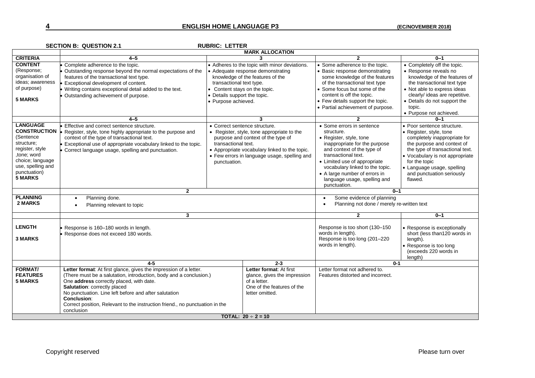### **4 ENGLISH HOME LANGUAGE P3 (EC/NOVEMBER 2018)**

|                                                                                                                                                                        | <b>MARK ALLOCATION</b>                                                                                                                                                                                                                                                                                                                                                                                  |                                                                                                                  |                                                                                                                                                                                   |                                                                                                                                                                                                                                                                                                              |                                                                                                                                                                                                                                                                                  |  |
|------------------------------------------------------------------------------------------------------------------------------------------------------------------------|---------------------------------------------------------------------------------------------------------------------------------------------------------------------------------------------------------------------------------------------------------------------------------------------------------------------------------------------------------------------------------------------------------|------------------------------------------------------------------------------------------------------------------|-----------------------------------------------------------------------------------------------------------------------------------------------------------------------------------|--------------------------------------------------------------------------------------------------------------------------------------------------------------------------------------------------------------------------------------------------------------------------------------------------------------|----------------------------------------------------------------------------------------------------------------------------------------------------------------------------------------------------------------------------------------------------------------------------------|--|
| <b>CRITERIA</b>                                                                                                                                                        | $4 - 5$                                                                                                                                                                                                                                                                                                                                                                                                 |                                                                                                                  | 3                                                                                                                                                                                 | $\overline{2}$                                                                                                                                                                                                                                                                                               | $0 - 1$                                                                                                                                                                                                                                                                          |  |
| <b>CONTENT</b><br>(Response;<br>organisation of<br>ideas; awareness<br>of purpose)<br><b>5 MARKS</b>                                                                   | Complete adherence to the topic.<br>Outstanding response beyond the normal expectations of the<br>features of the transactional text type.<br>Exceptional development of content.<br>Writing contains exceptional detail added to the text.<br>Outstanding achievement of purpose.                                                                                                                      | transactional text type.<br>• Content stays on the topic.<br>• Details support the topic.<br>• Purpose achieved. | • Adheres to the topic with minor deviations.<br>• Adequate response demonstrating<br>knowledge of the features of the                                                            | • Some adherence to the topic.<br>• Basic response demonstrating<br>some knowledge of the features<br>of the transactional text type<br>• Some focus but some of the<br>content is off the topic.<br>• Few details support the topic.<br>• Partial achievement of purpose.                                   | • Completely off the topic.<br>• Response reveals no<br>knowledge of the features of<br>the transactional text type<br>• Not able to express ideas<br>clearly/ ideas are repetitive.<br>• Details do not support the<br>topic.<br>• Purpose not achieved.                        |  |
|                                                                                                                                                                        | $4 - 5$                                                                                                                                                                                                                                                                                                                                                                                                 |                                                                                                                  | 3                                                                                                                                                                                 | $\mathbf{2}$                                                                                                                                                                                                                                                                                                 | $0 - 1$                                                                                                                                                                                                                                                                          |  |
| <b>LANGUAGE</b><br><b>CONSTRUCTION</b><br>(Sentence<br>structure;<br>register, style<br>tone; word<br>choice; language<br>use, spelling and<br>punctuation)<br>5 MARKS | Effective and correct sentence structure.<br>Register, style, tone highly appropriate to the purpose and<br>context of the type of transactional text.<br>Exceptional use of appropriate vocabulary linked to the topic.<br>Correct language usage, spelling and punctuation.                                                                                                                           | • Correct sentence structure.<br>transactional text.<br>punctuation.                                             | • Register, style, tone appropriate to the<br>purpose and context of the type of<br>• Appropriate vocabulary linked to the topic.<br>• Few errors in language usage, spelling and | • Some errors in sentence<br>structure.<br>• Register, style, tone<br>inappropriate for the purpose<br>and context of the type of<br>transactional text.<br>• Limited use of appropriate<br>vocabulary linked to the topic.<br>• A large number of errors in<br>language usage, spelling and<br>punctuation. | • Poor sentence structure.<br>• Register, style, tone<br>completely inappropriate for<br>the purpose and context of<br>the type of transactional text.<br>• Vocabulary is not appropriate<br>for the topic<br>• Language usage, spelling<br>and punctuation seriously<br>flawed. |  |
|                                                                                                                                                                        | $\overline{2}$                                                                                                                                                                                                                                                                                                                                                                                          |                                                                                                                  |                                                                                                                                                                                   | $0 - 1$                                                                                                                                                                                                                                                                                                      |                                                                                                                                                                                                                                                                                  |  |
| <b>PLANNING</b><br>2 MARKS                                                                                                                                             | Planning done.<br>Planning relevant to topic                                                                                                                                                                                                                                                                                                                                                            |                                                                                                                  | Some evidence of planning<br>Planning not done / merely re-written text                                                                                                           |                                                                                                                                                                                                                                                                                                              |                                                                                                                                                                                                                                                                                  |  |
|                                                                                                                                                                        | 3                                                                                                                                                                                                                                                                                                                                                                                                       |                                                                                                                  |                                                                                                                                                                                   | $\mathbf{2}$                                                                                                                                                                                                                                                                                                 | $0 - 1$                                                                                                                                                                                                                                                                          |  |
| <b>LENGTH</b><br><b>3 MARKS</b>                                                                                                                                        | Response is 160-180 words in length.<br>Response does not exceed 180 words.                                                                                                                                                                                                                                                                                                                             |                                                                                                                  |                                                                                                                                                                                   | Response is too short (130-150<br>words in length).<br>Response is too long (201-220<br>words in length).                                                                                                                                                                                                    | • Response is exceptionally<br>short (less than120 words in<br>length).<br>• Response is too long<br>(exceeds 220 words in<br>length)                                                                                                                                            |  |
|                                                                                                                                                                        | $4 - 5$<br>$2 - 3$                                                                                                                                                                                                                                                                                                                                                                                      |                                                                                                                  |                                                                                                                                                                                   | $0-1$                                                                                                                                                                                                                                                                                                        |                                                                                                                                                                                                                                                                                  |  |
| <b>FORMAT/</b><br><b>FEATURES</b><br><b>5 MARKS</b>                                                                                                                    | Letter format: At first glance, gives the impression of a letter.<br>(There must be a salutation, introduction, body and a conclusion.)<br>One address correctly placed, with date.<br><b>Salutation: correctly placed</b><br>No punctuation. Line left before and after salutation<br><b>Conclusion:</b><br>Correct position, Relevant to the instruction friend., no punctuation in the<br>conclusion |                                                                                                                  | Letter format: At first<br>glance, gives the impression<br>of a letter.<br>One of the features of the<br>letter omitted.                                                          | Letter format not adhered to.<br>Features distorted and incorrect.                                                                                                                                                                                                                                           |                                                                                                                                                                                                                                                                                  |  |
| <b>TOTAL:</b> $20 \div 2 = 10$                                                                                                                                         |                                                                                                                                                                                                                                                                                                                                                                                                         |                                                                                                                  |                                                                                                                                                                                   |                                                                                                                                                                                                                                                                                                              |                                                                                                                                                                                                                                                                                  |  |

### **SECTION B: QUESTION 2.1 RUBRIC: LETTER**